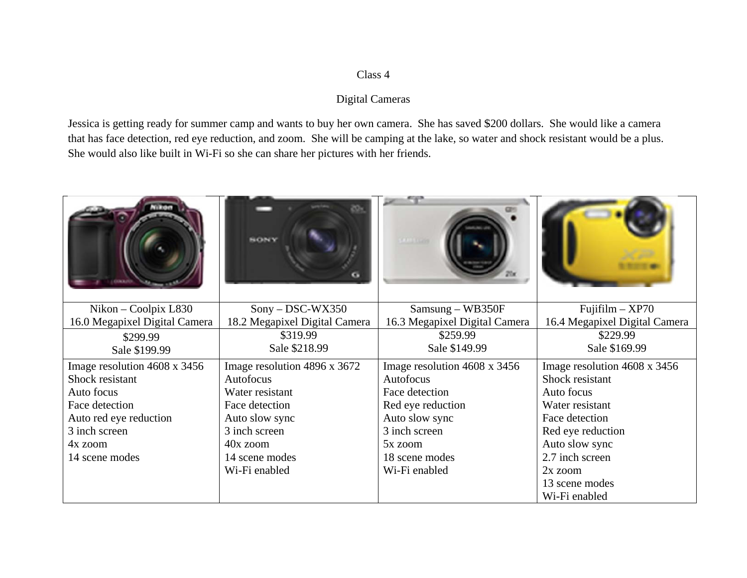## Class 4

## **Digital Cameras**

Jessica is getting ready for summer camp and wants to buy her own camera. She has saved \$200 dollars. She would like a camera that has face detection, red eye reduction, and zoom. She will be camping at the lake, so water and shock resistant would be a plus. She would also like built in Wi-Fi so she can share her pictures with her friends.

|                               | <b>RONY</b>                   |                               |                               |
|-------------------------------|-------------------------------|-------------------------------|-------------------------------|
| Nikon – Coolpix L830          | $Sony - DSC-WX350$            | $Samsung - WB350F$            | $Fuiifilm - XP70$             |
| 16.0 Megapixel Digital Camera | 18.2 Megapixel Digital Camera | 16.3 Megapixel Digital Camera | 16.4 Megapixel Digital Camera |
| \$299.99                      | \$319.99                      | \$259.99                      | \$229.99                      |
| Sale \$199.99                 | Sale \$218.99                 | Sale \$149.99                 | Sale \$169.99                 |
| Image resolution 4608 x 3456  | Image resolution 4896 x 3672  | Image resolution 4608 x 3456  | Image resolution 4608 x 3456  |
| Shock resistant               | Autofocus                     | Autofocus                     | Shock resistant               |
| Auto focus                    | Water resistant               | Face detection                | Auto focus                    |
| Face detection                | Face detection                | Red eye reduction             | Water resistant               |
| Auto red eye reduction        | Auto slow sync                | Auto slow sync                | Face detection                |
| 3 inch screen                 | 3 inch screen                 | 3 inch screen                 | Red eye reduction             |
| 4x zoom                       | 40x zoom                      | 5x zoom                       | Auto slow sync                |
| 14 scene modes                | 14 scene modes                | 18 scene modes                | 2.7 inch screen               |
|                               | Wi-Fi enabled                 | Wi-Fi enabled                 | 2x zoom                       |
|                               |                               |                               | 13 scene modes                |
|                               |                               |                               | Wi-Fi enabled                 |